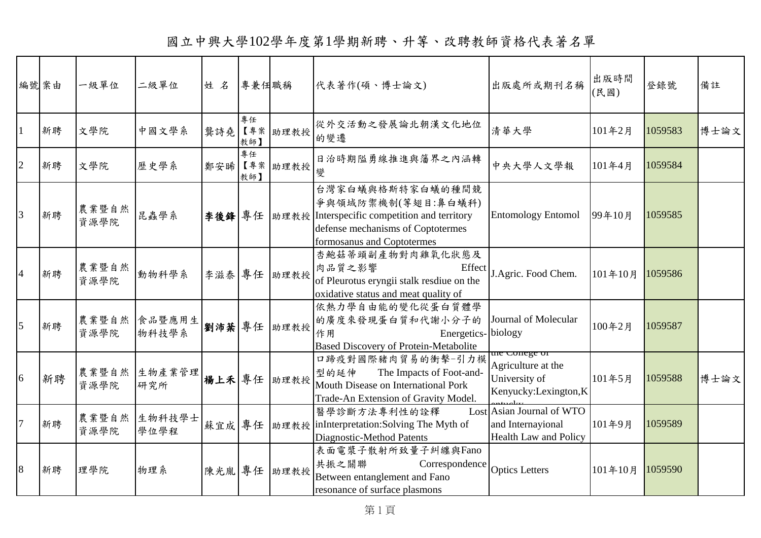國立中興大學102學年度第1學期新聘、升等、改聘教師資格代表著名單

| 編號案由           |    | 一級單位          | 二級單位            | 姓名  | 專兼任職稱     |             | 代表著作(碩、博士論文)                                                                                                                                                     | 出版處所或期刊名稱                                                                      | 出版時間<br>(民國) | 登錄號     | 備註   |
|----------------|----|---------------|-----------------|-----|-----------|-------------|------------------------------------------------------------------------------------------------------------------------------------------------------------------|--------------------------------------------------------------------------------|--------------|---------|------|
|                | 新聘 | 文學院           | 中國文學系           | 龔詩堯 | 專任<br>教師】 | 【專案 助理教授    | 從外交活動之發展論北朝漢文化地位<br>的變遷                                                                                                                                          | 清華大學                                                                           | 101年2月       | 1059583 | 博士論文 |
| $\overline{2}$ | 新聘 | 文學院           | 歷史學系            | 鄭安晞 | 專任<br>教師】 | 【專案 助理教授    | 日治時期隘勇線推進與籓界之內涵轉<br>變                                                                                                                                            | 中央大學人文學報                                                                       | 101年4月       | 1059584 |      |
| 3              | 新聘 | 農業暨自然<br>資源學院 | 昆蟲學系            |     |           |             | 台灣家白蟻與格斯特家白蟻的種間競<br>爭與領域防禦機制(等翅目:鼻白蟻科)<br>李後鋒 專任 助理教授 Interspecific competition and territory<br>defense mechanisms of Coptotermes<br>formosanus and Coptotermes | <b>Entomology Entomol</b>                                                      | 99年10月       | 1059585 |      |
| $\overline{4}$ | 新聘 | 農業暨自然<br>資源學院 | 動物科學系           |     |           | 李滋泰 專任 助理教授 | 杏鮑菇蒂頭副產物對肉雞氧化狀態及<br>肉品質之影響<br>Effect<br>of Pleurotus eryngii stalk resdiue on the<br>oxidative status and meat quality of                                        | J.Agric. Food Chem.                                                            | 101年10月      | 1059586 |      |
| 5              | 新聘 | 農業暨自然<br>資源學院 | 食品暨應用生<br>物科技學系 |     |           | 劉沛棻 專任 助理教授 | 依熱力學自由能的變化從蛋白質體學<br>的廣度來發現蛋白質和代謝小分子的<br>Energetics- biology<br>作用<br><b>Based Discovery of Protein-Metabolite</b>                                                | Journal of Molecular                                                           | 100年2月       | 1059587 |      |
| 6              | 新聘 | 農業暨自然<br>資源學院 | 生物產業管理<br>研究所   |     |           | 楊上禾 專任 助理教授 | 口蹄疫對國際豬肉貿易的衝擊-引力模<br>The Impacts of Foot-and-<br>型的延伸<br>Mouth Disease on International Pork<br>Trade-An Extension of Gravity Model.                             | the Conege of<br>Agriculture at the<br>University of<br>Kenyucky:Lexington,K   | 101年5月       | 1059588 | 博士論文 |
|                | 新聘 | 農業暨自然<br>資源學院 | 生物科技學士<br>學位學程  |     |           |             | 醫學診斷方法專利性的詮釋<br>蘇宜成 專任 助理教授 inInterpretation:Solving The Myth of<br>Diagnostic-Method Patents                                                                    | Lost Asian Journal of WTO<br>and Internayional<br><b>Health Law and Policy</b> | 101年9月       | 1059589 |      |
| 8              | 新聘 | 理學院           | 物理系             |     |           | 陳光胤 專任 助理教授 | 表面電漿子散射所致量子糾纏與Fano<br>共振之關聯<br>Correspondence<br>Between entanglement and Fano<br>resonance of surface plasmons                                                  | <b>Optics Letters</b>                                                          | 101年10月      | 1059590 |      |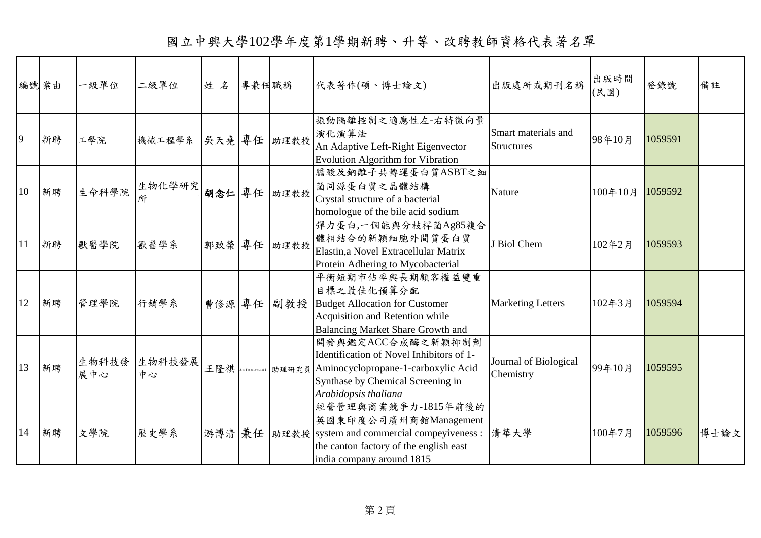國立中興大學102學年度第1學期新聘、升等、改聘教師資格代表著名單

| 編號案由 |    | 一級單位         | 二級單位         | 姓名  | 專兼任職稱 |             | 代表著作(碩、博士論文)                                                                                                                                                                        | 出版處所或期刊名稱                                | 出版時間<br>(民國) | 登錄號     | 備註   |
|------|----|--------------|--------------|-----|-------|-------------|-------------------------------------------------------------------------------------------------------------------------------------------------------------------------------------|------------------------------------------|--------------|---------|------|
| 9    | 新聘 | 工學院          | 機械工程學系       |     |       | 吳天堯 專任 助理教授 | 振動隔離控制之適應性左-右特徵向量<br>演化演算法<br>An Adaptive Left-Right Eigenvector<br><b>Evolution Algorithm for Vibration</b>                                                                        | Smart materials and<br><b>Structures</b> | 98年10月       | 1059591 |      |
| 10   | 新聘 | 生命科學院        | 生物化學研究<br>所  |     |       | 胡念仁 專任 助理教授 | 膽酸及鈉離子共轉運蛋白質ASBT之細<br>菌同源蛋白質之晶體結構<br>Crystal structure of a bacterial<br>homologue of the bile acid sodium                                                                          | Nature                                   | 100年10月      | 1059592 |      |
| 11   | 新聘 | 獸醫學院         | 獸醫學系         |     |       | 郭致榮 專任 助理教授 | 彈力蛋白,一個能與分枝桿菌Ag85複合<br>體相結合的新穎細胞外間質蛋白質<br>Elastin, a Novel Extracellular Matrix<br>Protein Adhering to Mycobacterial                                                                | J Biol Chem                              | 102年2月       | 1059593 |      |
| 12   | 新聘 | 管理學院         | 行銷學系         |     |       | 曹修源 專任 副教授  | 平衡短期市佔率與長期顧客權益雙重<br>目標之最佳化預算分配<br><b>Budget Allocation for Customer</b><br>Acquisition and Retention while<br>Balancing Market Share Growth and                                     | <b>Marketing Letters</b>                 | 102年3月       | 1059594 |      |
| 13   | 新聘 | 生物科技發<br>展中心 | 生物科技發展<br>中心 | 王隆祺 |       |             | 開發與鑑定ACC合成酶之新穎抑制劑<br>Identification of Novel Inhibitors of 1-<br>** [******] 助理研究員 Aminocyclopropane-1-carboxylic Acid<br>Synthase by Chemical Screening in<br>Arabidopsis thaliana | Journal of Biological<br>Chemistry       | 99年10月       | 1059595 |      |
| 14   | 新聘 | 文學院          | 歷史學系         |     |       |             | 經營管理與商業競爭力-1815年前後的<br>英國東印度公司廣州商館Management<br>游博清 兼任   助理教授   system and commercial compeyiveness :<br>the canton factory of the english east<br>india company around 1815        | 清華大學                                     | 100年7月       | 1059596 | 博士論文 |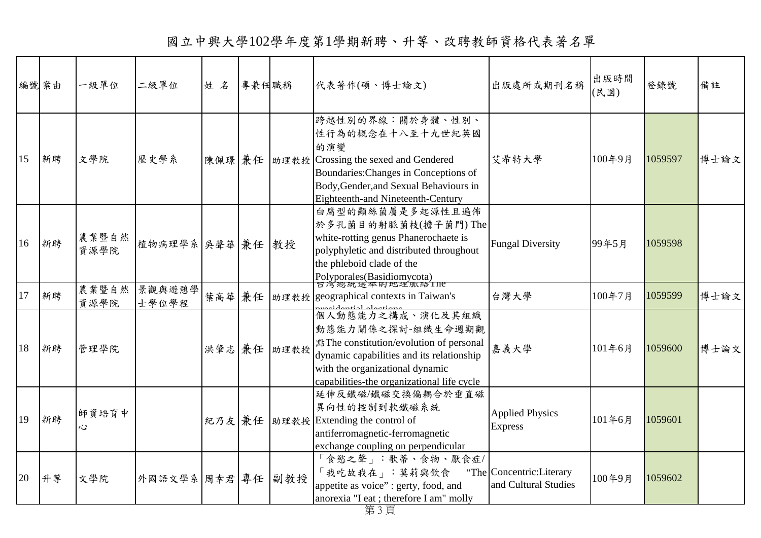|    | 編號案由 | 一級單位          | 二級單位             | 姓名     | 專兼任職稱 |             | 代表著作(碩、博士論文)                                                                                                                                                                                                   | 出版處所或期刊名稱                                          | 出版時間<br>(民國) | 登錄號     | 備註   |
|----|------|---------------|------------------|--------|-------|-------------|----------------------------------------------------------------------------------------------------------------------------------------------------------------------------------------------------------------|----------------------------------------------------|--------------|---------|------|
| 15 | 新聘   | 文學院           | 歷史學系             | 陳佩璟兼任  |       |             | 跨越性別的界線:關於身體、性別、<br>性行為的概念在十八至十九世紀英國<br>的演變<br> 助理教授 Crossing the sexed and Gendered<br>Boundaries: Changes in Conceptions of<br>Body, Gender, and Sexual Behaviours in<br>Eighteenth-and Nineteenth-Century   | 艾希特大學                                              | 100年9月       | 1059597 | 博士論文 |
| 16 | 新聘   | 農業暨自然<br>資源學院 | 植物病理學系 吳聲華 兼任 教授 |        |       |             | 白腐型的顯絲菌屬是多起源性且遍佈<br>於多孔菌目的射脈菌枝(擔子菌門)The<br>white-rotting genus Phanerochaete is<br>polyphyletic and distributed throughout<br>the phleboid clade of the<br>Polyporales(Basidiomycota)<br>日月總統選平町地理脈絡Ine        | <b>Fungal Diversity</b>                            | 99年5月        | 1059598 |      |
| 17 | 新聘   | 農業暨自然<br>資源學院 | 景觀與遊憩學<br>士學位學程  | 葉高華 兼任 |       |             | 助理教授 geographical contexts in Taiwan's                                                                                                                                                                         | 台灣大學                                               | 100年7月       | 1059599 | 博士論文 |
| 18 | 新聘   | 管理學院          |                  |        |       | 洪肇志 兼任 助理教授 | 個人動態能力之構成、演化及其組織<br>動態能力關係之探討-組織生命週期觀<br>點The constitution/evolution of personal<br>dynamic capabilities and its relationship<br>with the organizational dynamic<br>capabilities-the organizational life cycle | 嘉義大學                                               | 101年6月       | 1059600 | 博士論文 |
| 19 | 新聘   | 師資培育中<br>Ŵ.   |                  | 紀乃友 兼任 |       |             | 延伸反鐵磁/鐵磁交換偏耦合於垂直磁<br>異向性的控制到軟鐵磁系統<br> 助理教授 Extending the control of<br>antiferromagnetic-ferromagnetic<br>exchange coupling on perpendicular                                                                   | <b>Applied Physics</b><br><b>Express</b>           | 101年6月       | 1059601 |      |
| 20 | 升等   | 文學院           | 外國語文學系 周幸君 專任    |        |       | 副教授         | 「食慾之聲」:歌蒂、食物、厭食症/<br>「我吃故我在」:莫莉與飲食<br>appetite as voice" : gerty, food, and<br>anorexia "I eat ; therefore I am" molly                                                                                         | "The Concentric: Literary"<br>and Cultural Studies | 100年9月       | 1059602 |      |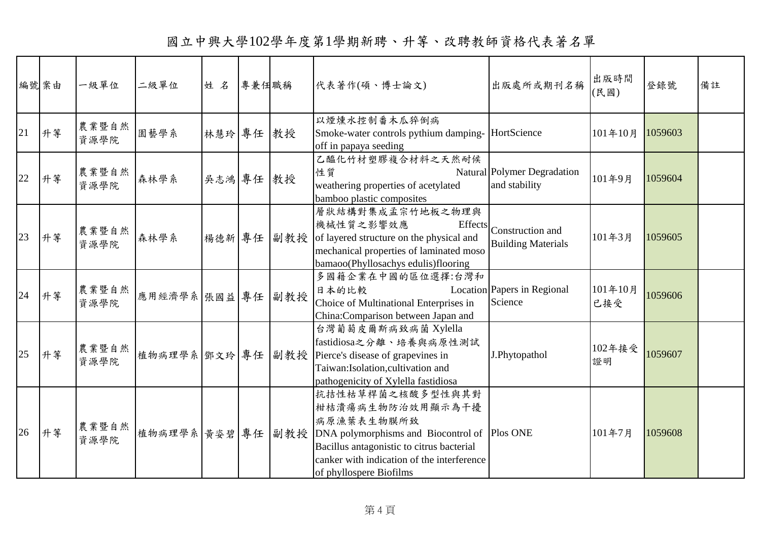國立中興大學102學年度第1學期新聘、升等、改聘教師資格代表著名單

| 編號案由 |    | 一級單位          | 二級單位              | 姓名        | 專兼任職稱 |            | 代表著作(碩、博士論文)                                                                                                                                                                                                                               | 出版處所或期刊名稱                                             | 出版時間<br>(民國)   | 登錄號     | 備註 |
|------|----|---------------|-------------------|-----------|-------|------------|--------------------------------------------------------------------------------------------------------------------------------------------------------------------------------------------------------------------------------------------|-------------------------------------------------------|----------------|---------|----|
| 21   | 升等 | 農業暨自然<br>資源學院 | 園藝學系              | 林慧玲 專任 教授 |       |            | 以煙燻水控制番木瓜猝倒病<br>Smoke-water controls pythium damping- HortScience<br>off in papaya seeding                                                                                                                                                 |                                                       | 101年10月        | 1059603 |    |
| 22   | 升等 | 農業暨自然<br>資源學院 | 森林學系              | 吳志鴻 專任 教授 |       |            | 乙醯化竹材塑膠複合材料之天然耐候<br>性質<br>weathering properties of acetylated<br>bamboo plastic composites                                                                                                                                                 | Natural Polymer Degradation<br>and stability          | 101年9月         | 1059604 |    |
| 23   | 升等 | 農業暨自然<br>資源學院 | 森林學系              |           |       | 楊德新 專任 副教授 | 層狀結構對集成孟宗竹地板之物理與<br>機械性質之影響效應<br>of layered structure on the physical and<br>mechanical properties of laminated moso<br>bamaoo(Phyllosachys edulis)flooring                                                                                | Effects Construction and<br><b>Building Materials</b> | 101年3月         | 1059605 |    |
| 24   | 升等 | 農業暨自然<br>資源學院 | 應用經濟學系 張國益 專任 副教授 |           |       |            | 多國籍企業在中國的區位選擇:台灣和<br>日本的比較<br>Choice of Multinational Enterprises in<br>China:Comparison between Japan and                                                                                                                                 | Location Papers in Regional<br>Science                | 101年10月<br>已接受 | 1059606 |    |
| 25   | 升等 | 農業暨自然<br>資源學院 | 植物病理學系 鄧文玲 專任 副教授 |           |       |            | 台灣葡萄皮爾斯病致病菌 Xylella<br>fastidiosa之分離、培養與病原性測試<br>Pierce's disease of grapevines in<br>Taiwan:Isolation,cultivation and<br>pathogenicity of Xylella fastidiosa                                                                              | J.Phytopathol                                         | 102年接受<br>證明   | 1059607 |    |
| 26   | 升等 | 農業暨自然<br>資源學院 |                   |           |       |            | 抗拮性枯草桿菌之核酸多型性與其對<br>柑桔潰瘍病生物防治效用顯示為干擾<br>病原漁葉表生物膜所致<br>植物病理學系 黃姿碧 專任 副教授 DNA polymorphisms and Biocontrol of Plos ONE<br>Bacillus antagonistic to citrus bacterial<br>canker with indication of the interference<br>of phyllospere Biofilms |                                                       | 101年7月         | 1059608 |    |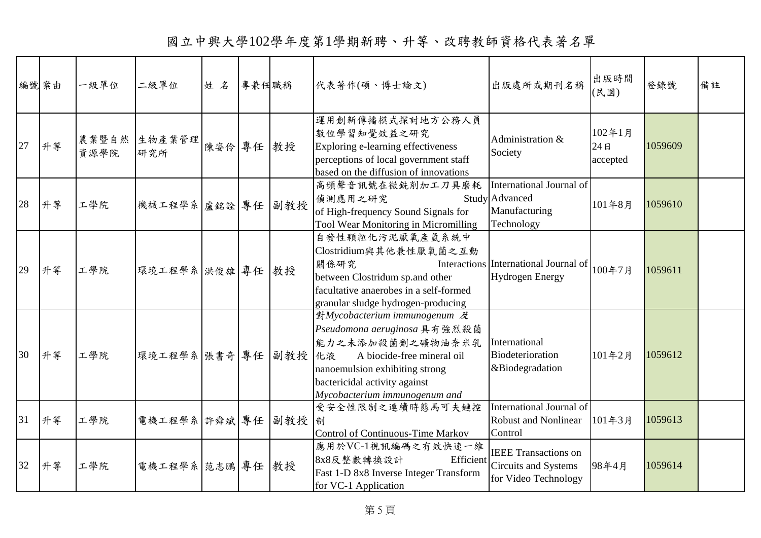|    | 編號案由 | 一級單位          | 二級單位              | 姓名        | 專兼任職稱 | 代表著作(碩、博士論文)                                                                                                                                                                                                                                      | 出版處所或期刊名稱                                                                             | 出版時間<br>(民國)              | 登錄號     | 備註 |
|----|------|---------------|-------------------|-----------|-------|---------------------------------------------------------------------------------------------------------------------------------------------------------------------------------------------------------------------------------------------------|---------------------------------------------------------------------------------------|---------------------------|---------|----|
| 27 | 升等   | 農業暨自然<br>資源學院 | 生物產業管理<br>研究所     | 陳姿伶 專任 教授 |       | 運用創新傳播模式探討地方公務人員<br>數位學習知覺效益之研究<br>Exploring e-learning effectiveness<br>perceptions of local government staff<br>based on the diffusion of innovations                                                                                           | Administration &<br>Society                                                           | 102年1月<br>24B<br>accepted | 1059609 |    |
| 28 | 升等   | 工學院           | 機械工程學系 盧銘詮 專任 副教授 |           |       | 高頻聲音訊號在微銑削加工刀具磨耗<br>偵測應用之研究<br>of High-frequency Sound Signals for<br>Tool Wear Monitoring in Micromilling                                                                                                                                        | International Journal of<br><b>Study Advanced</b><br>Manufacturing<br>Technology      | 101年8月                    | 1059610 |    |
| 29 | 升等   | 工學院           | 環境工程學系 洪俊雄 專任 教授  |           |       | 自發性顆粒化污泥厭氧產氫系統中<br>Clostridium與其他兼性厭氧菌之互動<br>關係研究<br>between Clostridum sp.and other<br>facultative anaerobes in a self-formed<br>granular sludge hydrogen-producing                                                                              | Interactions International Journal of<br><b>Hydrogen Energy</b>                       | 100年7月                    | 1059611 |    |
| 30 | 升等   | 工學院           | 環境工程學系 張書奇 專任 副教授 |           |       | $\frac{1}{2}M$ ycobacterium immunogenum $\mathcal{R}$<br>Pseudomona aeruginosa 具有強烈殺菌<br>能力之未添加殺菌劑之礦物油奈米乳<br>化液<br>A biocide-free mineral oil<br>nanoemulsion exhibiting strong<br>bactericidal activity against<br>Mycobacterium immunogenum and | International<br>Biodeterioration<br>&Biodegradation                                  | 101年2月                    | 1059612 |    |
| 31 | 升等   | 工學院           | 電機工程學系 許舜斌 專任 副教授 |           |       | 受安全性限制之連續時態馬可夫鏈控<br>制<br>Control of Continuous-Time Markov                                                                                                                                                                                        | International Journal of<br><b>Robust and Nonlinear</b><br>Control                    | 101年3月                    | 1059613 |    |
| 32 | 升等   | 工學院           | 電機工程學系 范志鵬 專任 教授  |           |       | 應用於VC-1視訊編碼之有效快速一維<br>8x8反整數轉換設計<br>Fast 1-D 8x8 Inverse Integer Transform<br>for VC-1 Application                                                                                                                                                | <b>IEEE</b> Transactions on<br>Efficient Circuits and Systems<br>for Video Technology | 98年4月                     | 1059614 |    |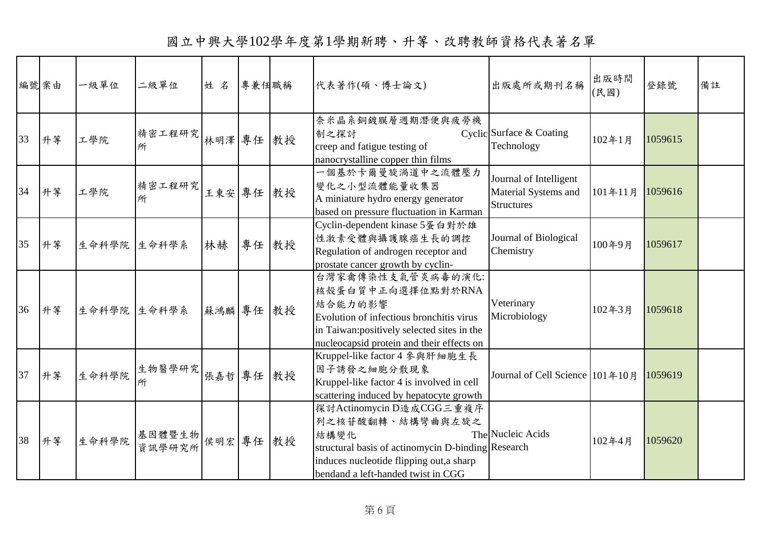國立中興大學102學年度第1學期新聘、升等、改聘教師資格代表著名單

| 編號案由 |    | 一級單位        | 二級單位             | 姓名        | 專兼任職稱 | 代表著作(碩、博士論文)                                                                                                                                                                                 | 出版處所或期刊名稱                                                           | 出版時間<br>(民國) | 登錄號     | 備註 |
|------|----|-------------|------------------|-----------|-------|----------------------------------------------------------------------------------------------------------------------------------------------------------------------------------------------|---------------------------------------------------------------------|--------------|---------|----|
| 33   | 升等 | 工學院         | 精密工程研究<br>所      | 林明澤 專任 教授 |       | 奈米晶系銅鍍膜層週期潛便與疲勞機<br>制之探討<br>creep and fatigue testing of<br>nanocrystalline copper thin films                                                                                                | Cyclic Surface & Coating<br>Technology                              | 102年1月       | 1059615 |    |
| 34   | 升等 | 工學院         | 精密工程研究<br>所      | 王東安 專任 教授 |       | 一個基於卡爾曼旋渦道中之流體壓力<br>變化之小型流體能量收集器<br>A miniature hydro energy generator<br>based on pressure fluctuation in Karman                                                                            | Journal of Intelligent<br>Material Systems and<br><b>Structures</b> | 101年11月      | 1059616 |    |
| 35   | 升等 | 生命科學院 生命科學系 |                  | 林赫        | 專任 教授 | Cyclin-dependent kinase 5蛋白對於雄<br>性激素受體與攝護腺癌生長的調控<br>Regulation of androgen receptor and<br>prostate cancer growth by cyclin-                                                                | Journal of Biological<br>Chemistry                                  | 100年9月       | 1059617 |    |
| 36   | 升等 | 生命科學院 生命科學系 |                  | 蘇鴻麟 專任 教授 |       | 台灣家禽傳染性支氣管炎病毒的演化:<br>核殼蛋白質中正向選擇位點對於RNA<br>結合能力的影響<br>Evolution of infectious bronchitis virus<br>in Taiwan: positively selected sites in the<br>nucleocapsid protein and their effects on    | Veterinary<br>Microbiology                                          | 102年3月       | 1059618 |    |
| 37   | 升等 | 生命科學院       | 生物醫學研究           | 張嘉哲 專任 教授 |       | Kruppel-like factor 4 参與肝細胞生長<br>因子誘發之細胞分散現象<br>Kruppel-like factor 4 is involved in cell<br>scattering induced by hepatocyte growth                                                         | Journal of Cell Science 101年10月                                     |              | 1059619 |    |
| 38   | 升等 | 生命科學院       | 基因體暨生物<br>資訊學研究所 | 侯明宏 專任 教授 |       | 探討Actinomycin D造成CGG三重複序<br>列之核苷酸翻轉、結構彎曲與左旋之<br>結構變化<br>structural basis of actinomycin D-binding Research<br>induces nucleotide flipping out, a sharp<br>bendand a left-handed twist in CGG | The Nucleic Acids                                                   | 102年4月       | 1059620 |    |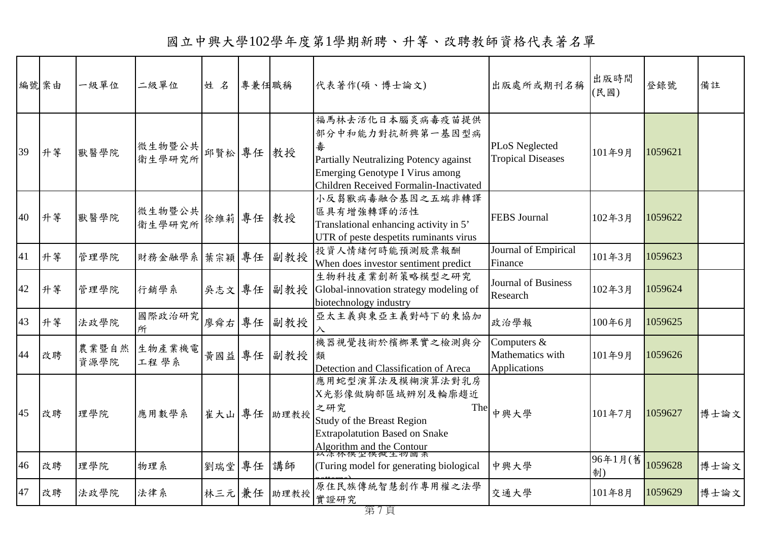|    | 編號案由 | 一級單位          | 二級單位             | 姓名     | 專兼任職稱 |             | 代表著作(碩、博士論文)                                                                                                                                                            | 出版處所或期刊名稱                                       | 出版時間<br>(民國)  | 登錄號     | 備註   |
|----|------|---------------|------------------|--------|-------|-------------|-------------------------------------------------------------------------------------------------------------------------------------------------------------------------|-------------------------------------------------|---------------|---------|------|
| 39 | 升等   | 獸醫學院          | 微生物暨公共<br>衛生學研究所 | 邱賢松專任  |       | 教授          | 福馬林去活化日本腦炎病毒疫苗提供<br>部分中和能力對抗新興第一基因型病<br>毒<br>Partially Neutralizing Potency against<br><b>Emerging Genotype I Virus among</b><br>Children Received Formalin-Inactivated | PLoS Neglected<br><b>Tropical Diseases</b>      | 101年9月        | 1059621 |      |
| 40 | 升等   | 獸醫學院          | 微生物暨公共<br>衛生學研究所 | 徐維莉 專任 |       | 教授          | 小反芻獸病毒融合基因之五端非轉譯<br>區具有增強轉譯的活性<br>Translational enhancing activity in 5'<br>UTR of peste despetits ruminants virus                                                      | <b>FEBS</b> Journal                             | 102年3月        | 1059622 |      |
| 41 | 升等   | 管理學院          | 財務金融學系 葉宗穎 專任    |        |       | 副教授         | 投資人情緒何時能預測股票報酬<br>When does investor sentiment predict                                                                                                                  | Journal of Empirical<br>Finance                 | 101年3月        | 1059623 |      |
| 42 | 升等   | 管理學院          | 行銷學系             | 吳志文 專任 |       | 副教授         | 生物科技產業創新策略模型之研究<br>Global-innovation strategy modeling of<br>biotechnology industry                                                                                     | <b>Journal of Business</b><br>Research          | 102年3月        | 1059624 |      |
| 43 | 升等   | 法政學院          | 國際政治研究<br>所      | 廖舜右 專任 |       | 副教授         | 亞太主義與東亞主義對峙下的東協加                                                                                                                                                        | 政治學報                                            | 100年6月        | 1059625 |      |
| 44 | 改聘   | 農業暨自然<br>資源學院 | 生物產業機電<br>工程學系   | 黃國益 專任 |       | 副教授         | 機器視覺技術於檳榔果實之檢測與分<br>類<br>Detection and Classification of Areca                                                                                                          | Computers &<br>Mathematics with<br>Applications | 101年9月        | 1059626 |      |
| 45 | 改聘   | 理學院           | 應用數學系            |        |       | 崔大山 專任 助理教授 | 應用蛇型演算法及模糊演算法對乳房<br>X光影像做胸部區域辨別及輪廓趨近<br>之研究<br>The<br>Study of the Breast Region<br><b>Extrapolatution Based on Snake</b><br>Algorithm and the Contour<br>以深怀怪空候概生物画系   | 中興大學                                            | 101年7月        | 1059627 | 博士論文 |
| 46 | 改聘   | 理學院           | 物理系              | 劉瑞堂 專任 |       | 講師          | (Turing model for generating biological                                                                                                                                 | 中興大學                                            | 96年1月(舊<br>制) | 1059628 | 博士論文 |
| 47 | 改聘   | 法政學院          | 法律系              | 林三元兼任  |       | 助理教授        | 原住民族傳統智慧創作專用權之法學<br>實證研究                                                                                                                                                | 交通大學                                            | 101年8月        | 1059629 | 博士論文 |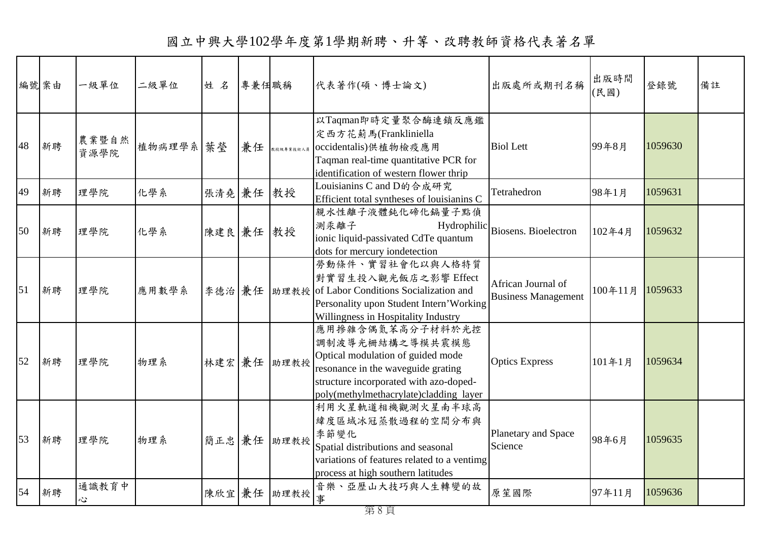| 編號案由 |    | 一級單位          | 二級單位      | 姓名        | 專兼任職稱 |               | 代表著作(碩、博士論文)                                                                                                                                                                                       | 出版處所或期刊名稱                                        | 出版時間<br>(民國) | 登錄號     | 備註 |
|------|----|---------------|-----------|-----------|-------|---------------|----------------------------------------------------------------------------------------------------------------------------------------------------------------------------------------------------|--------------------------------------------------|--------------|---------|----|
| 48   | 新聘 | 農業暨自然<br>資源學院 | 植物病理學系 葉瑩 |           | 兼任    | <br>教授級專業技術人員 | 以Taqman即時定量聚合酶連鎖反應鑑<br>定西方花薊馬(Frankliniella<br>occidentalis)供植物檢疫應用<br>Taqman real-time quantitative PCR for<br>identification of western flower thrip                                             | <b>Biol Lett</b>                                 | 99年8月        | 1059630 |    |
| 49   | 新聘 | 理學院           | 化學系       | 張清堯 兼任 教授 |       |               | Louisianins C and D的合成研究<br>Efficient total syntheses of louisianins C                                                                                                                             | Tetrahedron                                      | 98年1月        | 1059631 |    |
| 50   | 新聘 | 理學院           | 化學系       | 陳建良 兼任 教授 |       |               | 親水性離子液體鈍化碲化鎘量子點偵<br>測汞離子<br>ionic liquid-passivated CdTe quantum<br>dots for mercury iondetection                                                                                                  | Hydrophilic Biosens. Bioelectron                 | 102年4月       | 1059632 |    |
| 51   | 新聘 | 理學院           | 應用數學系     | 李德治兼任     |       | 助理教授          | 勞動條件、實習社會化以與人格特質<br>對實習生投入觀光飯店之影響 Effect<br>of Labor Conditions Socialization and<br>Personality upon Student Intern'Working<br>Willingness in Hospitality Industry                                | African Journal of<br><b>Business Management</b> | 100年11月      | 1059633 |    |
| 52   | 新聘 | 理學院           | 物理系       |           |       | 林建宏 兼任 助理教授   | 應用掺雜含偶氮苯高分子材料於光控<br>調制波導光柵結構之導模共震模態<br>Optical modulation of guided mode<br>resonance in the waveguide grating<br>structure incorporated with azo-doped-<br>poly(methylmethacrylate)cladding layer | <b>Optics Express</b>                            | 101年1月       | 1059634 |    |
| 53   | 新聘 | 理學院           | 物理系       |           |       | 簡正忠 兼任 助理教授   | 利用火星軌道相機觀測火星南半球高<br>緯度區域冰冠蒸散過程的空間分布與<br>季節變化<br>Spatial distributions and seasonal<br>variations of features related to a ventimg<br>process at high southern latitudes                            | Planetary and Space<br>Science                   | 98年6月        | 1059635 |    |
| 54   | 新聘 | 通識教育中<br>心    |           |           |       | 陳欣宜兼任 助理教授    | 音樂、亞歷山大技巧與人生轉變的故<br>事                                                                                                                                                                              | 原笙國際                                             | 97年11月       | 1059636 |    |